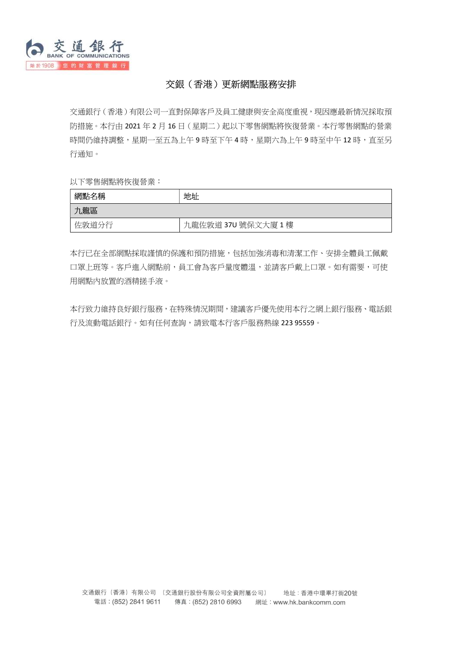

## 交銀(香港)更新網點服務安排

交通銀行(香港)有限公司一直對保障客戶及員工健康與安全高度重視,現因應最新情況採取預 防措施。本行由 2021 年 2 月 16 日(星期二)起以下零售網點將恢復營業。本行零售網點的營業 時間仍維持調整,星期一至五為上午9時至下午4時,星期六為上午9時至中午12時,直至另 行通知。

以下零售網點將恢復營業:

| 網點名稱  | 地址                  |
|-------|---------------------|
| 九龍區   |                     |
| 佐敦道分行 | 九龍佐敦道 37U 號保文大廈 1 樓 |

本行已在全部網點採取謹慎的保護和預防措施,包括加強消毒和清潔工作、安排全體員工佩戴 口罩上班等。客戶進入網點前,員工會為客戶量度體溫,並請客戶戴上口罩。如有需要,可使 用網點內放置的酒精搓手液。

本行致力維持良好銀行服務,在特殊情況期間,建議客戶優先使用本行之網上銀行服務、電話銀 行及流動電話銀行。如有任何查詢,請致電本行客戶服務熱線 223 95559。